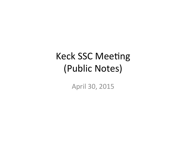# **Keck SSC Meeting** (Public Notes)

April 30, 2015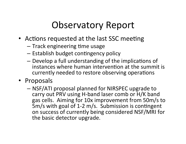## Observatory Report

- Actions requested at the last SSC meeting
	- $-$  Track engineering time usage
	- $-$  Establish budget contingency policy
	- $-$  Develop a full understanding of the implications of instances where human intervention at the summit is currently needed to restore observing operations
- Proposals
	- $-$  NSF/ATI proposal planned for NIRSPEC upgrade to carry out PRV using H-band laser comb or H/K band gas cells. Aiming for 10x improvement from 50m/s to 5m/s with goal of 1-2 m/s. Submission is contingent on success of currently being considered NSF/MRI for the basic detector upgrade.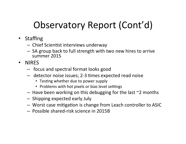# Observatory Report (Cont'd)

- Staffing
	- Chief Scientist interviews underway
	- SA group back to full strength with two new hires to arrive summer 2015
- NIRFS
	- focus and spectral format looks good
	- detector noise issues; 2-3 times expected read noise
		- Testing whether due to power supply
		- Problems with hot pixels or bias level settings
	- $-$  Have been working on this debugging for the last  $\sim$ 2 months
	- Shipping expected early July
	- Worst case mitigation is change from Leach controller to ASIC
	- Possible shared-risk science in 2015B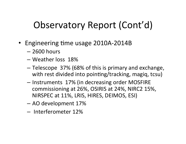# Observatory Report (Cont'd)

- Engineering time usage 2010A-2014B
	- $-2600$  hours
	- $-$  Weather loss 18%
	- $-$  Telescope 37% (68% of this is primary and exchange, with rest divided into pointing/tracking, magiq, tcsu)
	- Instruments 17% (in decreasing order MOSFIRE commissioning at 26%, OSIRIS at 24%, NIRC2 15%, NIRSPEC at 11%, LRIS, HIRES, DEIMOS, ESI)
	- AO development 17%
	- Interferometer 12%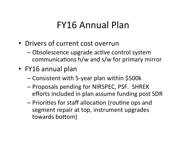## **FY16 Annual Plan**

- Drivers of current cost overrun
	- Obsolescence upgrade active control system communications h/w and s/w for primary mirror
- FY16 annual plan
	- Consistent with 5-year plan within \$500k
	- Proposals pending for NIRSPEC, PSF. SHREK efforts included in plan assume funding post SDR
	- Priorities for staff allocation (routine ops and segment repair at top, instrument upgrades towards bottom)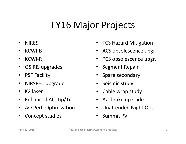## **FY16 Major Projects**

- NIRES%
- $\cdot$  KCWI-B
- $\cdot$  KCWI-R
- OSIRIS upgrades
- PSF Facility
- NIRSPEC upgrade
- $\cdot$  K2 laser
- Enhanced AO Tip/Tilt
- AO Perf. Optimization
- Concept studies
- **TCS Hazard Mitigation**
- ACS obsolescence upgr.
- PCS obsolescence upgr.
- Segment Repair
- Spare secondary
- Seismic study
- Cable wrap study
- Az. brake upgrade
- Unattended Night Ops
- Summit PV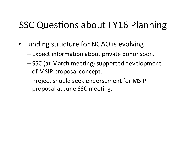## **SSC Questions about FY16 Planning**

- Funding structure for NGAO is evolving.
	- $-$  Expect information about private donor soon.
	- SSC (at March meeting) supported development of MSIP proposal concept.
	- Project should seek endorsement for MSIP proposal at June SSC meeting.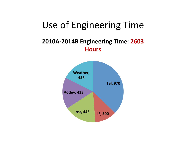### Use of Engineering Time

### **2010A-2014B Engineering Time: 2603 Hours%**

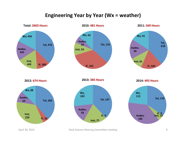#### **Engineering Year by Year (Wx = weather)**



April 30, 2015 Keck Science Steering Committee meeting Committee meering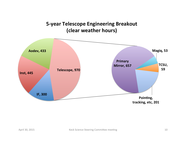### **5-year Telescope Engineering Breakout** (clear weather hours)

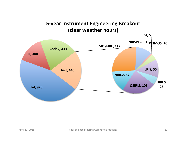### 5-year Instrument Engineering Breakout (clear weather hours)

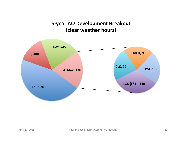### 5-year AO Development Breakout (clear weather hours)

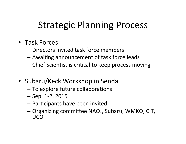## **Strategic Planning Process**

- Task Forces
	- Directors invited task force members
	- Awaiting announcement of task force leads
	- Chief Scientist is critical to keep process moving
- Subaru/Keck Workshop in Sendai
	- To explore future collaborations
	- $-$  Sep. 1-2, 2015
	- Participants have been invited
	- Organizing committee NAOJ, Subaru, WMKO, CIT, UCO